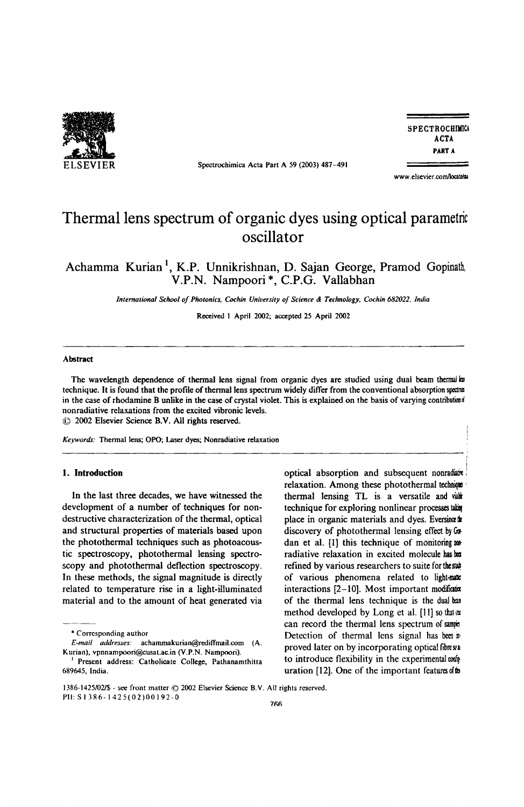

Spectrochimica Acta Part A 59 (2003) 487-491

**SPECTROCHIMICA** ACTA PART A

www.elsevier.com/locate/su

I

# Thermal lens spectrum of organic dyes using optical parametric oscillator

Achamma Kurian<sup>1</sup>, K.P. Unnikrishnan, D. Sajan George, Pramod Gopinath, V.P.N. Nampoori \*, C.P.G. Vallabhan

*International School of Photonics, Cochin University of Science & Technology, Cochin 682022, India* 

Received I April 2002; accepted 25 April 2002

#### Abstract

The wavelength dependence of thermal lens signal from organic dyes are studied using dual beam thermal ba technique. It is found that the profile of thermal lens spectrum widely differ from the conventional absorption spectrua in the case of rhodamine B unlike in the case of crystal violet. This is explained on the basis of varying contribution nonradiative relaxations from the excited vibronic levels. ~) 2002 Elsevier Science B.V. All rights reserved.

------------------------------------------------------------------------------:

*Keywords:* Thennal lens; OPO; Laser dyes; Nonradiative relaxation

## 1. Introduction

In the last three decades, we have witnessed the development of a number of techniques for nondestructive characterization of the thermal, optical and structural properties of materials based upon the photothermal techniques such as photoacoustic spectroscopy, photothermal lensing spectroscopy and photothermal deflection spectroscopy. In these methods, the signal magnitude is directly related to temperature rise in a light-illuminated material and to the amount of heat generated via optical absorption and subsequent nonradiate relaxation. Among these photothermal technique thermal lensing TL is a versatile and viabk technique for exploring nonlinear processes taking place in organic materials and dyes. Eversince  $\mathbf{k}$ discovery of photothermal lensing effect by  $G\Phi$ dan et al. [1] this technique of monitoring not radiative relaxation in excited molecule has been refined by various researchers to suite for the subof various phenomena related to light-nate interactions  $[2-10]$ . Most important modification of the thermal lens technique is the dual b:a method developed by Long et al. [11] so that ox can record the thermal lens spectrum of sample Detection of thermal lens signal has been is proved later on by incorporating optical fibress to introduce flexibility in the experimental configuration uration  $[12]$ . One of the important features of  $\mathbf b$ 

<sup>•</sup> Corresponding author

*E-mail* addresses:achammakurian@redifTmail.com (A. Kurian), vpnnampoori@cusal.ac.in (V.P.N. Nampoori).

<sup>&</sup>lt;sup>1</sup> Present address: Catholicate College, Pathanamthitta 689645, India.

<sup>1386-1425/02/\$ -</sup> see front matter  $@$  2002 Elsevier Science B.V. All rights reserved. PII: S I 386 - I 42 5 (02) 0 0 I 92- 0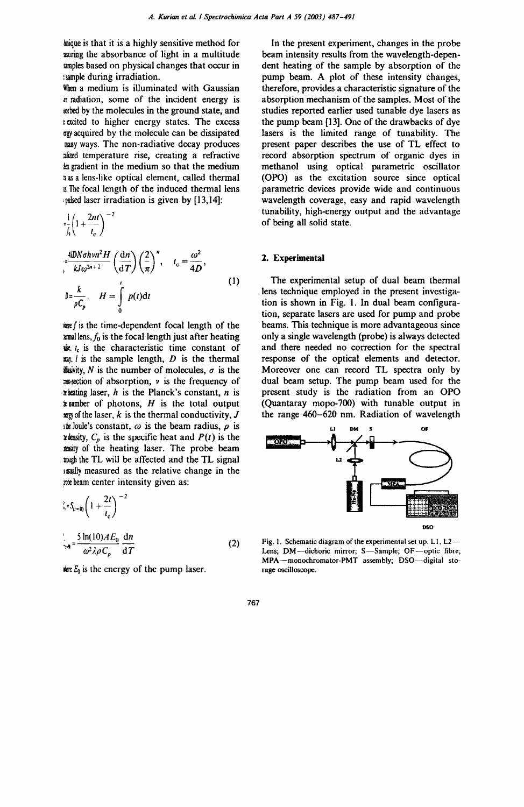hnique is that it is a highly sensitive method for 2Suring the absorbance of light in a multitude simples based on physical changes that occur in : sample during irradiation.

When a medium is illuminated with Gaussian fr radiation, some of the incident energy is arbed by the molecules in the ground state, and e excited to higher energy states. The excess ~gy acquired by the molecule can be dissipated many ways. The non-radiative decay produces alized temperature rise, creating a refractive k gradient in the medium so that the medium a as a lens-like optical element, called thermal [6. The focal length of the induced thermal lens ,pulsed laser irradiation is given by [13,14]:

$$
\frac{1}{\int_{\theta}}\left(1+\frac{2nt}{t_c}\right)^{-2}
$$

$$
\int_{0}^{\frac{\pi}{2}} \frac{d^{2}D\ln\sigma h\nu n^{2}H}{kJ\omega^{2n+2}} \left(\frac{dn}{dT}\right) \left(\frac{2}{\pi}\right)^{n}, \quad t_{c} = \frac{\omega^{2}}{4D},
$$
\n
$$
\int_{0}^{\frac{\pi}{2}} \frac{k}{\rho C_{p}}, \quad H = \int_{0}^{t} p(t) dt
$$
\n(1)

 $\frac{dx}{dt}$  is the time-dependent focal length of the  $\mathbf{m}$ allens,  $f_0$  is the focal length just after heating  $i.e.$   $i.e.$  is the characteristic time constant of  $\mathbf{z}$ y, *l* is the sample length, *D* is the thermal figurity, N is the number of molecules,  $\sigma$  is the  $\infty$ section of absorption,  $\nu$  is the frequency of  $\ast$  beating laser, *h* is the Planck's constant, *n* is  $\overline{\mathbf{z}}$  number of photons,  $H$  is the total output  $xxy$  of the laser,  $k$  is the thermal conductivity,  $J$  $\mu$  Joule's constant,  $\omega$  is the beam radius,  $\rho$  is  $x$  density,  $C_p$  is the specific heat and  $P(t)$  is the .my of the heating laser. The probe beam wegh the TL will be affected and the TL signal lasually measured as the relative change in the we beam center intensity given as:

$$
\frac{d}{dt}S_{(t=0)}\left(1+\frac{2t}{t_c}\right)^{-2}
$$
  

$$
\frac{1}{2\pi} = \frac{5\ln(10)AE_0}{\omega^2\lambda\rho C_p}\frac{dn}{dT}
$$
 (2)

the  $E_0$  is the energy of the pump laser.

In the present experiment, changes in the probe beam intensity results from the wavelength-dependent heating of the sample by absorption of the pump beam. A plot of these intensity changes, therefore, provides a characteristic signature of the absorption mechanism of the samples. Most of the studies reported earlier used tunable dye lasers as the pump beam [13). One of the drawbacks of dye lasers is the limited range of tunability. The present paper describes the use of TL effect to record absorption spectrum of organic dyes in methanol using optical parametric oscillator (OPO) as the excitation source since optical parametric devices provide wide and continuous wavelength coverage, easy and rapid wavelength tunability, high-energy output and the advantage of being all solid state .

# 2. Experimental

The experimental setup of dual beam thermal lens technique employed in the present investigation is shown in Fig. I. In dual beam configuration, separate lasers are used for pump and probe beams. This technique is more advantageous since only a single wavelength (probe) is always detected and there needed no correction for the spectral response of the optical elements and detector. Moreover one can record TL spectra only by dual beam setup. The pump beam used for the present study is the radiation from an OPO (Quantaray mopo-700) with tunable output in the range 460-620 nm. Radiation of wavelength



Fig. 1. Schematic diagram of the experimental set up.  $L1$ ,  $L2$ — Lens; DM-dichoric mirror; S-Sample; OF-optic fibre; MPA-monochromator-PMT assembly; DSO-digital storage oscilloscope.

767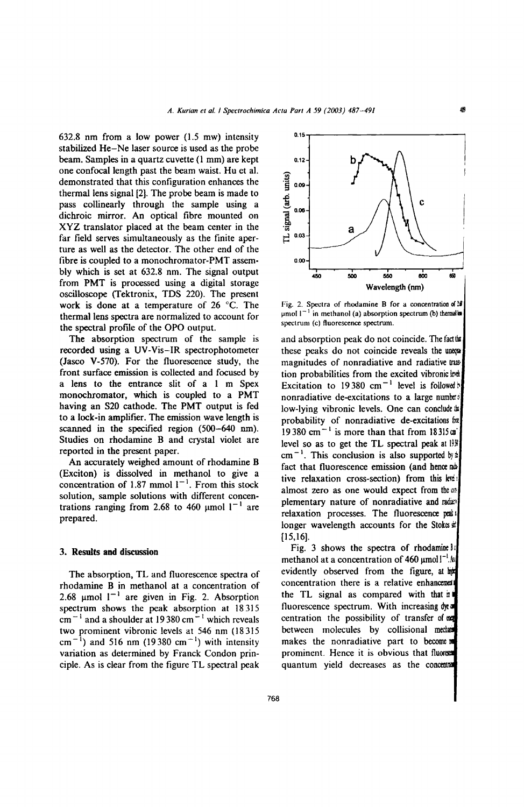632.8 nm from a low power (1.5 mw) intensity stabilized He-Ne laser source is used as the probe beam. Samples in a quartz cuvette (1 mm) are kept one confocal length past the beam waist. Hu et al. demonstrated that this configuration enhances the thermal lens signal [2]. The probe beam is made to pass collinearly through the sample using a dichroic mirror. An optical fibre mounted on XYZ translator placed at the beam center in the far field serves simultaneously as the finite aperture as well as the detector. The other end of the fibre is coupled to a monochromator-PMT assembly which is set at 632.8 nm. The signal output from PMT is processed using a digital storage oscilloscope (Tektronix, TDS 220). The present work is done at a temperature of 26°C. The thermal lens spectra are normalized to account for the spectral profile of the OPO output.

The absorption spectrum of the sample is recorded using a UV -Vis-IR spectrophotometer (Jasco V-570). For the fluorescence study, the front surface emission is collected and focused by a lens to the entrance slit of a 1 m Spex monochromator, which is coupled to a PMT having an S20 cathode. The PMT output is fed to a lock-in amplifier. The emission wave length is scanned in the specified region (500-640 nm). Studies on rhodamine B and crystal violet are reported in the present paper.

An accurately weighed amount of rhodamine B (Exciton) is dissolved in methanol to give a concentration of 1.87 mmol  $I^{-1}$ . From this stock solution, sample solutions with different concentrations ranging from 2.68 to 460  $\mu$ mol 1<sup>-1</sup> are prepared.

## 3. Results **and** discussion

The absorption, TL and fluorescence spectra of rhodamine B in methanol at a concentration of 2.68  $\mu$ mol  $I^{-1}$  are given in Fig. 2. Absorption spectrum shows the peak absorption at 18315  $cm^{-1}$  and a shoulder at 19380 cm<sup>-1</sup> which reveals two prominent vibronic levels at 546 nm (18 315  $\text{cm}^{-1}$ ) and 516 nm (19380 cm<sup>-1</sup>) with intensity variation as determined by Franck Condon principle. As is clear from the figure TL spectral peak



Fig. 2. Spectra of rhodamine B for a concentration of  $10$  $\mu$ mol  $1^{-1}$  in methanol (a) absorption spectrum (b) thermal in spectrum (c) fluorescence spectrum.

and absorption peak do not coincide. The factual these peaks do not coincide reveals the uneque magnitudes of nonradiative and radiative trastion probabilities from the excited vibronic lend Excitation to 19380 cm<sup>-1</sup> level is followed nonradiative de-excitations to a large number low-lying vibronic levels. One can conclude is probability of nonradiative de-excitations for 19380 cm<sup>-1</sup> is more than that from  $18315$ cm' level so as to get the TL spectral peak at 19}  $cm^{-1}$ . This conclusion is also supported by: fact that fluorescence emission (and hence  $\omega$ tive relaxation cross-section) from this level almost zero as one would expect from the  $\infty$ plementary nature of nonradiative and radar relaxation processes. The fluorescence peak longer wavelength accounts for the Stokes  $\mathbb E$  $[15,16]$ .

Fig. 3 shows the spectra of rhodamine Bi methanol at a concentration of  $460 \mu \text{mol}^{-1}$ . evidently observed from the figure, at the concentration there is a relative enhancement the TL signal as compared with that in fluorescence spectrum. With increasing dyearcentration the possibility of transfer of between molecules by collisional mecho makes the nonradiative part to become prominent. Hence it is obvious that fluored quantum yield decreases as the con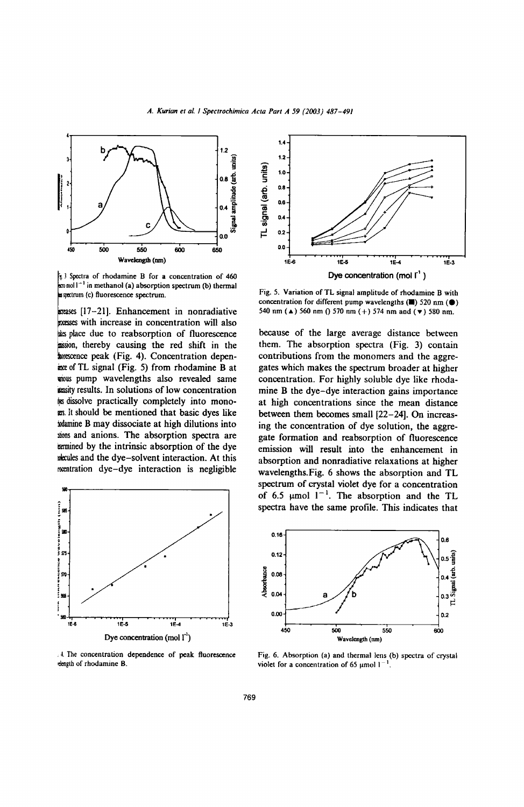A. Kurian et al. / Spectrochimica Acta Part A 59 (2003) 487-491



3 Spectra of rhodamine B for a concentration of 460  $\approx$  moll<sup>-1</sup> in methanol (a) absorption spectrum (b) thermal s spectrum (c) fluorescence spectrum.

ereases [17-21]. Enhancement in nonradiative concept with increase in concentration will also as place due to reabsorption of fluorescence assion, thereby causing the red shift in the wescence peak (Fig. 4). Concentration depenance of TL signal (Fig. 5) from rhodamine B at wous pump wavelengths also revealed same stasity results. In solutions of low concentration to the dissolve practically completely into monogrs. It should be mentioned that basic dyes like wamine B may dissociate at high dilutions into alons and anions. The absorption spectra are termined by the intrinsic absorption of the dye wecules and the dye-solvent interaction. At this mentration dye-dye interaction is negligible



.4. The concentration dependence of peak fluorescence dength of rhodamine B.



Fig. 5. Variation of TL signal amplitude of rhodamine B with concentration for different pump wavelengths  $(\blacksquare)$  520 nm  $(\lozenge)$ 540 nm ( $\triangle$ ) 560 nm () 570 nm (+) 574 nm and ( $\blacktriangledown$ ) 580 nm.

because of the large average distance between them. The absorption spectra (Fig. 3) contain contributions from the monomers and the aggregates which makes the spectrum broader at higher concentration. For highly soluble dye like rhodamine B the dye-dye interaction gains importance at high concentrations since the mean distance between them becomes small [22-24]. On increasing the concentration of dye solution, the aggregate formation and reabsorption of fluorescence emission will result into the enhancement in absorption and nonradiative relaxations at higher wavelengths. Fig. 6 shows the absorption and TL spectrum of crystal violet dye for a concentration of 6.5  $\mu$ mol  $1^{-1}$ . The absorption and the TL spectra have the same profile. This indicates that



Fig. 6. Absorption (a) and thermal lens (b) spectra of crystal violet for a concentration of 65  $\mu$ mol  $1^{-1}$ .